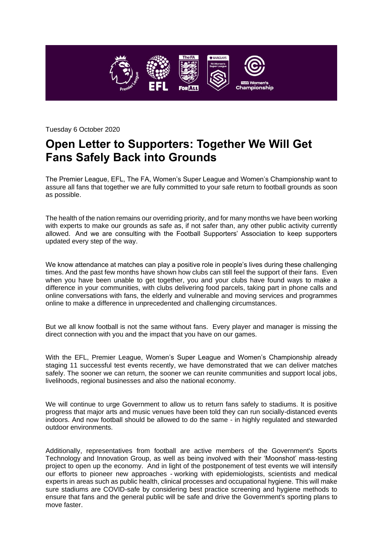

Tuesday 6 October 2020

## **Open Letter to Supporters: Together We Will Get Fans Safely Back into Grounds**

The Premier League, EFL, The FA, Women's Super League and Women's Championship want to assure all fans that together we are fully committed to your safe return to football grounds as soon as possible.

The health of the nation remains our overriding priority, and for many months we have been working with experts to make our grounds as safe as, if not safer than, any other public activity currently allowed. And we are consulting with the Football Supporters' Association to keep supporters updated every step of the way.

We know attendance at matches can play a positive role in people's lives during these challenging times. And the past few months have shown how clubs can still feel the support of their fans. Even when you have been unable to get together, you and your clubs have found ways to make a difference in your communities, with clubs delivering food parcels, taking part in phone calls and online conversations with fans, the elderly and vulnerable and moving services and programmes online to make a difference in unprecedented and challenging circumstances.

But we all know football is not the same without fans. Every player and manager is missing the direct connection with you and the impact that you have on our games.

With the EFL, Premier League, Women's Super League and Women's Championship already staging 11 successful test events recently, we have demonstrated that we can deliver matches safely. The sooner we can return, the sooner we can reunite communities and support local jobs, livelihoods, regional businesses and also the national economy.

We will continue to urge Government to allow us to return fans safely to stadiums. It is positive progress that major arts and music venues have been told they can run socially-distanced events indoors. And now football should be allowed to do the same - in highly regulated and stewarded outdoor environments.

Additionally, representatives from football are active members of the Government's Sports Technology and Innovation Group, as well as being involved with their 'Moonshot' mass-testing project to open up the economy. And in light of the postponement of test events we will intensify our efforts to pioneer new approaches - working with epidemiologists, scientists and medical experts in areas such as public health, clinical processes and occupational hygiene. This will make sure stadiums are COVID-safe by considering best practice screening and hygiene methods to ensure that fans and the general public will be safe and drive the Government's sporting plans to move faster.